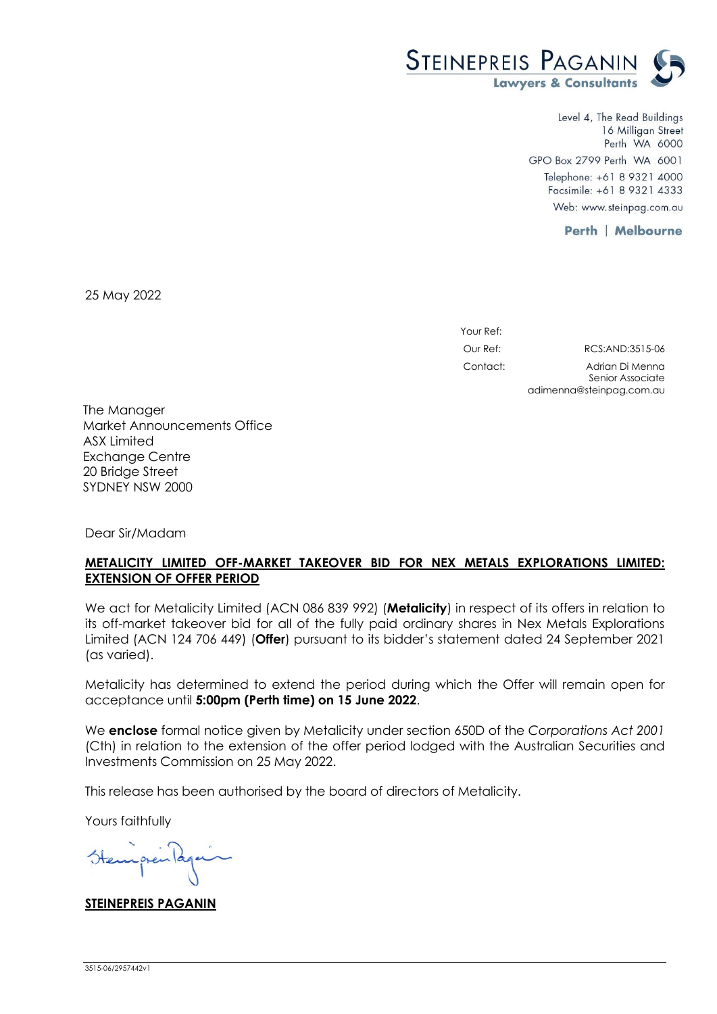

Level 4, The Read Buildings 16 Milligan Street Perth WA 6000 GPO Box 2799 Perth WA 6001 Telephone: +61 8 9321 4000 Facsimile: +61 8 9321 4333 Web: www.steinpag.com.au

adimenna@steinpag.com.au

**Perth | Melbourne** 

25 May 2022

Your Ref: Our Ref: RCS:AND:3515-06 Contact: Adrian Di Menna Senior Associate

The Manager Market Announcements Office ASX Limited Exchange Centre 20 Bridge Street SYDNEY NSW 2000

Dear Sir/Madam

### **METALICITY LIMITED OFF-MARKET TAKEOVER BID FOR NEX METALS EXPLORATIONS LIMITED: EXTENSION OF OFFER PERIOD**

We act for Metalicity Limited (ACN 086 839 992) (**Metalicity**) in respect of its offers in relation to its off-market takeover bid for all of the fully paid ordinary shares in Nex Metals Explorations Limited (ACN 124 706 449) (**Offer**) pursuant to its bidder's statement dated 24 September 2021 (as varied).

Metalicity has determined to extend the period during which the Offer will remain open for acceptance until **5:00pm (Perth time) on 15 June 2022**.

We **enclose** formal notice given by Metalicity under section 650D of the *Corporations Act 2001* (Cth) in relation to the extension of the offer period lodged with the Australian Securities and Investments Commission on 25 May 2022.

This release has been authorised by the board of directors of Metalicity.

Yours faithfully

**STEINEPREIS PAGANIN**

3515-06/2957442v1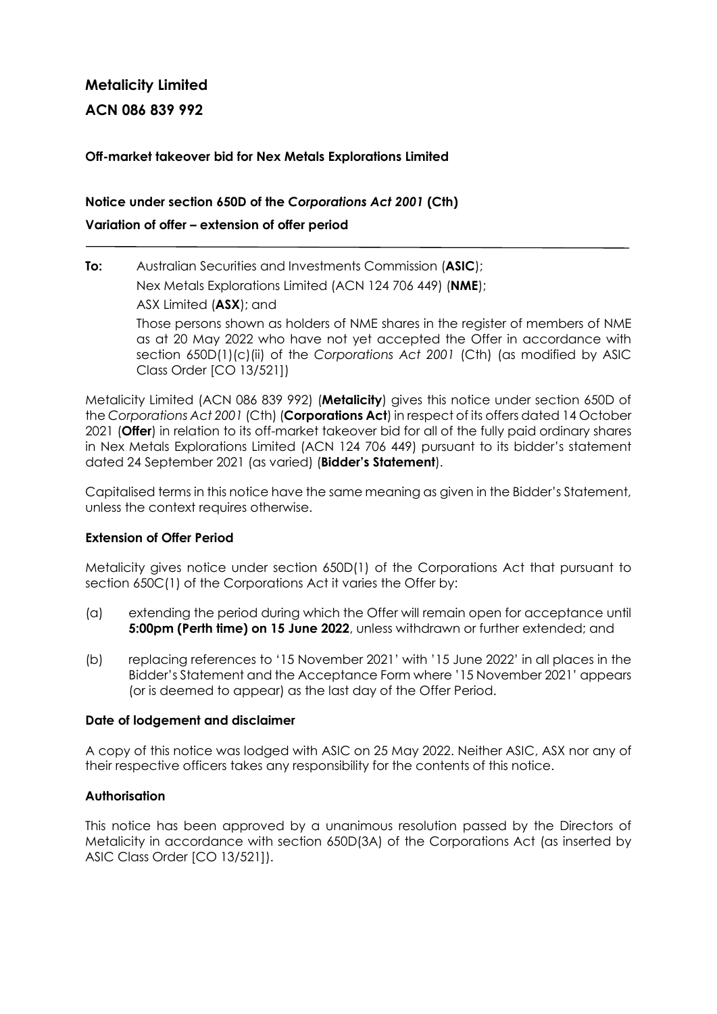# **Metalicity Limited**

**ACN 086 839 992** 

## **Off-market takeover bid for Nex Metals Explorations Limited**

# **Notice under section 650D of the** *Corporations Act 2001* **(Cth) Variation of offer – extension of offer period**

# **To:** Australian Securities and Investments Commission (**ASIC**);

Nex Metals Explorations Limited (ACN 124 706 449) (**NME**);

ASX Limited (**ASX**); and

Those persons shown as holders of NME shares in the register of members of NME as at 20 May 2022 who have not yet accepted the Offer in accordance with section 650D(1)(c)(ii) of the *Corporations Act 2001* (Cth) (as modified by ASIC Class Order [CO 13/521])

Metalicity Limited (ACN 086 839 992) (**Metalicity**) gives this notice under section 650D of the *Corporations Act 2001* (Cth) (**Corporations Act**) in respect of its offers dated 14 October 2021 (**Offer**) in relation to its off-market takeover bid for all of the fully paid ordinary shares in Nex Metals Explorations Limited (ACN 124 706 449) pursuant to its bidder's statement dated 24 September 2021 (as varied) (**Bidder's Statement**).

Capitalised terms in this notice have the same meaning as given in the Bidder's Statement, unless the context requires otherwise.

## **Extension of Offer Period**

Metalicity gives notice under section 650D(1) of the Corporations Act that pursuant to section 650C(1) of the Corporations Act it varies the Offer by:

- (a) extending the period during which the Offer will remain open for acceptance until **5:00pm (Perth time) on 15 June 2022**, unless withdrawn or further extended; and
- (b) replacing references to '15 November 2021' with '15 June 2022' in all places in the Bidder's Statement and the Acceptance Form where '15 November 2021' appears (or is deemed to appear) as the last day of the Offer Period.

#### **Date of lodgement and disclaimer**

A copy of this notice was lodged with ASIC on 25 May 2022. Neither ASIC, ASX nor any of their respective officers takes any responsibility for the contents of this notice.

#### **Authorisation**

This notice has been approved by a unanimous resolution passed by the Directors of Metalicity in accordance with section 650D(3A) of the Corporations Act (as inserted by ASIC Class Order [CO 13/521]).